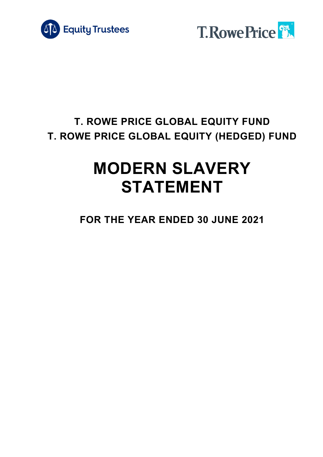



# **T. ROWE PRICE GLOBAL EQUITY FUND T. ROWE PRICE GLOBAL EQUITY (HEDGED) FUND**

# **MODERN SLAVERY STATEMENT**

**FOR THE YEAR ENDED 30 JUNE 2021**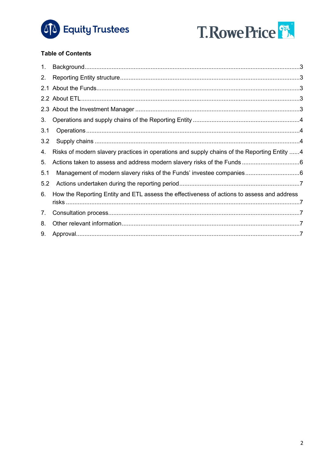



## **Table of Contents**

| 1.  |                                                                                             |  |
|-----|---------------------------------------------------------------------------------------------|--|
| 2.  |                                                                                             |  |
|     |                                                                                             |  |
|     |                                                                                             |  |
|     |                                                                                             |  |
| 3.  |                                                                                             |  |
| 3.1 |                                                                                             |  |
| 3.2 |                                                                                             |  |
| 4.  | Risks of modern slavery practices in operations and supply chains of the Reporting Entity 4 |  |
| 5.  |                                                                                             |  |
| 5.1 |                                                                                             |  |
| 5.2 |                                                                                             |  |
| 6.  | How the Reporting Entity and ETL assess the effectiveness of actions to assess and address  |  |
| 7.  |                                                                                             |  |
| 8.  |                                                                                             |  |
| 9.  |                                                                                             |  |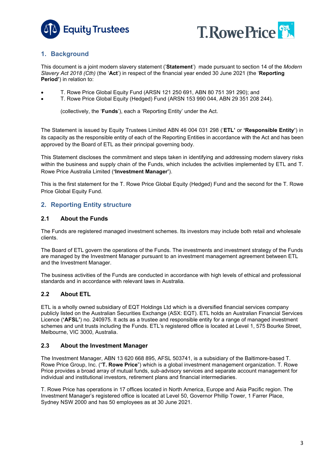



# <span id="page-2-0"></span>**1. Background**

This document is a joint modern slavery statement ('**Statement**') made pursuant to section 14 of the *Modern Slavery Act 2018 (Cth)* (the '**Act**') in respect of the financial year ended 30 June 2021 (the '**Reporting Period'**) in relation to:

- T. Rowe Price Global Equity Fund (ARSN 121 250 691, ABN 80 751 391 290); and
- T. Rowe Price Global Equity (Hedged) Fund (ARSN 153 990 044, ABN 29 351 208 244).

(collectively, the '**Funds**'), each a 'Reporting Entity' under the Act.

The Statement is issued by Equity Trustees Limited ABN 46 004 031 298 ('**ETL'** or **'Responsible Entity'**) in its capacity as the responsible entity of each of the Reporting Entities in accordance with the Act and has been approved by the Board of ETL as their principal governing body.

This Statement discloses the commitment and steps taken in identifying and addressing modern slavery risks within the business and supply chain of the Funds, which includes the activities implemented by ETL and T. Rowe Price Australia Limited (**'Investment Manager'**).

This is the first statement for the T. Rowe Price Global Equity (Hedged) Fund and the second for the T. Rowe Price Global Equity Fund.

# <span id="page-2-1"></span>**2. Reporting Entity structure**

#### <span id="page-2-2"></span>**2.1 About the Funds**

The Funds are registered managed investment schemes. Its investors may include both retail and wholesale clients.

The Board of ETL govern the operations of the Funds. The investments and investment strategy of the Funds are managed by the Investment Manager pursuant to an investment management agreement between ETL and the Investment Manager.

The business activities of the Funds are conducted in accordance with high levels of ethical and professional standards and in accordance with relevant laws in Australia.

### <span id="page-2-3"></span>**2.2 About ETL**

ETL is a wholly owned subsidiary of EQT Holdings Ltd which is a diversified financial services company publicly listed on the Australian Securities Exchange (ASX: EQT). ETL holds an Australian Financial Services Licence (**'AFSL'**) no. 240975. It acts as a trustee and responsible entity for a range of managed investment schemes and unit trusts including the Funds. ETL's registered office is located at Level 1, 575 Bourke Street, Melbourne, VIC 3000, Australia.

#### <span id="page-2-4"></span>**2.3 About the Investment Manager**

The Investment Manager, ABN 13 620 668 895, AFSL 503741, is a subsidiary of the Baltimore-based T. Rowe Price Group, Inc. ("**T. Rowe Price**") which is a global investment management organization. T. Rowe Price provides a broad array of mutual funds, sub-advisory services and separate account management for individual and institutional investors, retirement plans and financial intermediaries.

T. Rowe Price has operations in 17 offices located in North America, Europe and Asia Pacific region. The Investment Manager's registered office is located at Level 50, Governor Phillip Tower, 1 Farrer Place, Sydney NSW 2000 and has 50 employees as at 30 June 2021.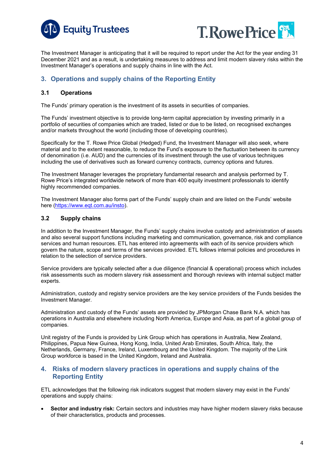



The Investment Manager is anticipating that it will be required to report under the Act for the year ending 31 December 2021 and as a result, is undertaking measures to address and limit modern slavery risks within the Investment Manager's operations and supply chains in line with the Act.

# <span id="page-3-0"></span>**3. Operations and supply chains of the Reporting Entity**

#### <span id="page-3-1"></span>**3.1 Operations**

The Funds' primary operation is the investment of its assets in securities of companies.

The Funds' investment objective is to provide long-term capital appreciation by investing primarily in a portfolio of securities of companies which are traded, listed or due to be listed, on recognised exchanges and/or markets throughout the world (including those of developing countries).

Specifically for the T. Rowe Price Global (Hedged) Fund, the Investment Manager will also seek, where material and to the extent reasonable, to reduce the Fund's exposure to the fluctuation between its currency of denomination (i.e. AUD) and the currencies of its investment through the use of various techniques including the use of derivatives such as forward currency contracts, currency options and futures.

The Investment Manager leverages the proprietary fundamental research and analysis performed by T. Rowe Price's integrated worldwide network of more than 400 equity investment professionals to identify highly recommended companies.

The Investment Manager also forms part of the Funds' supply chain and are listed on the Funds' website here [\(https://www.eqt.com.au/insto\)](https://www.eqt.com.au/corporates-and-fund-managers/fund-managers/institutional-funds/institutional).

#### <span id="page-3-2"></span>**3.2 Supply chains**

In addition to the Investment Manager, the Funds' supply chains involve custody and administration of assets and also several support functions including marketing and communication, governance, risk and compliance services and human resources. ETL has entered into agreements with each of its service providers which govern the nature, scope and terms of the services provided. ETL follows internal policies and procedures in relation to the selection of service providers.

Service providers are typically selected after a due diligence (financial & operational) process which includes risk assessments such as modern slavery risk assessment and thorough reviews with internal subject matter experts.

Administration, custody and registry service providers are the key service providers of the Funds besides the Investment Manager.

Administration and custody of the Funds' assets are provided by JPMorgan Chase Bank N.A. which has operations in Australia and elsewhere including North America, Europe and Asia, as part of a global group of companies.

Unit registry of the Funds is provided by Link Group which has operations in Australia, New Zealand, Philippines, Papua New Guinea, Hong Kong, India, United Arab Emirates, South Africa, Italy, the Netherlands, Germany, France, Ireland, Luxembourg and the United Kingdom. The majority of the Link Group workforce is based in the United Kingdom, Ireland and Australia.

#### <span id="page-3-3"></span>**4. Risks of modern slavery practices in operations and supply chains of the Reporting Entity**

ETL acknowledges that the following risk indicators suggest that modern slavery may exist in the Funds' operations and supply chains:

• **Sector and industry risk:** Certain sectors and industries may have higher modern slavery risks because of their characteristics, products and processes.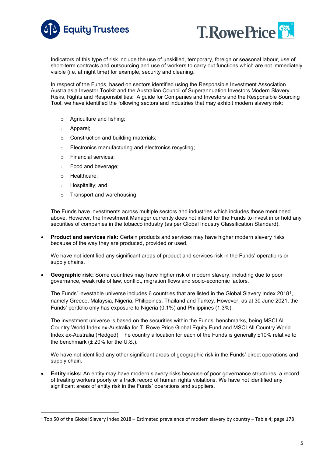



Indicators of this type of risk include the use of unskilled, temporary, foreign or seasonal labour, use of short-term contracts and outsourcing and use of workers to carry out functions which are not immediately visible (i.e. at night time) for example, security and cleaning.

In respect of the Funds, based on sectors identified using the Responsible Investment Association Australasia Investor Toolkit and the Australian Council of Superannuation Investors Modern Slavery Risks, Rights and Responsibilities: A guide for Companies and Investors and the Responsible Sourcing Tool, we have identified the following sectors and industries that may exhibit modern slavery risk:

- o Agriculture and fishing;
- o Apparel;
- o Construction and building materials;
- o Electronics manufacturing and electronics recycling;
- o Financial services;
- o Food and beverage;
- o Healthcare;
- o Hospitality; and
- o Transport and warehousing.

The Funds have investments across multiple sectors and industries which includes those mentioned above. However, the Investment Manager currently does not intend for the Funds to invest in or hold any securities of companies in the tobacco industry (as per Global Industry Classification Standard).

• **Product and services risk:** Certain products and services may have higher modern slavery risks because of the way they are produced, provided or used.

We have not identified any significant areas of product and services risk in the Funds' operations or supply chains.

• **Geographic risk:** Some countries may have higher risk of modern slavery, including due to poor governance, weak rule of law, conflict, migration flows and socio-economic factors.

The Funds' investable universe includes 6 countries that are listed in the Global Slavery Index 2018[1](#page-4-0), namely Greece, Malaysia, Nigeria, Philippines, Thailand and Turkey. However, as at 30 June 2021, the Funds' portfolio only has exposure to Nigeria (0.1%) and Philippines (1.3%).

The investment universe is based on the securities within the Funds' benchmarks, being MSCI All Country World Index ex-Australia for T. Rowe Price Global Equity Fund and MSCI All Country World Index ex-Australia (Hedged). The country allocation for each of the Funds is generally ±10% relative to the benchmark  $(\pm 20\%$  for the U.S.).

We have not identified any other significant areas of geographic risk in the Funds' direct operations and supply chain.

• **Entity risks:** An entity may have modern slavery risks because of poor governance structures, a record of treating workers poorly or a track record of human rights violations. We have not identified any significant areas of entity risk in the Funds' operations and suppliers.

<span id="page-4-0"></span> $1$  Top 50 of the Global Slavery Index 2018 – Estimated prevalence of modern slavery by country – Table 4; page 178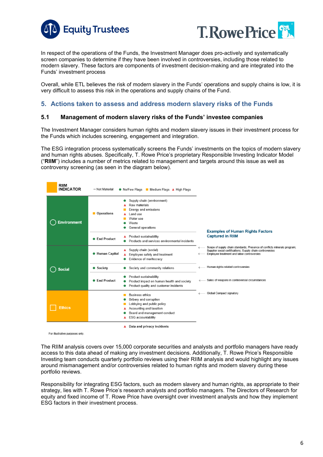



In respect of the operations of the Funds, the Investment Manager does pro-actively and systematically screen companies to determine if they have been involved in controversies, including those related to modern slavery. These factors are components of investment decision-making and are integrated into the Funds' investment process

Overall, while ETL believes the risk of modern slavery in the Funds' operations and supply chains is low, it is very difficult to assess this risk in the operations and supply chains of the Fund.

#### <span id="page-5-0"></span>**5. Actions taken to assess and address modern slavery risks of the Funds**

#### <span id="page-5-1"></span>**5.1 Management of modern slavery risks of the Funds' investee companies**

The Investment Manager considers human rights and modern slavery issues in their investment process for the Funds which includes screening, engagement and integration.

The ESG integration process systematically screens the Funds' investments on the topics of modern slavery and human rights abuses. Specifically, T. Rowe Price's proprietary Responsible Investing Indicator Model ("**RIIM**") includes a number of metrics related to management and targets around this issue as well as controversy screening (as seen in the diagram below).

| RIIM<br><b>INDICATOR</b> | - Not Material         | ● No/Few Flags ■ Medium Flags ▲ High Flags                                                                                                                             |                                                                                                                                                                                      |
|--------------------------|------------------------|------------------------------------------------------------------------------------------------------------------------------------------------------------------------|--------------------------------------------------------------------------------------------------------------------------------------------------------------------------------------|
| <b>Environment</b>       | Operations             | Supply chain (environment)<br>Raw materials<br>Energy and emissions<br>Land use<br>Water use<br>Waste<br>General operations                                            | <b>Examples of Human Rights Factors</b>                                                                                                                                              |
|                          | <b>• End Product</b>   | Product sustainability<br>Products and services environmental incidents                                                                                                | <b>Captured in RIIM</b>                                                                                                                                                              |
|                          | <b>• Human Capital</b> | Supply chain (social)<br>Employee safety and treatment<br>Evidence of meritocracy                                                                                      | Scope of supply chain standards; Presence of conflicts minerals program;<br>Supplier social certifications; Supply chain controversies<br>Employee treatment and labor controversies |
| <b>Social</b>            | • Society              | Society and community relations                                                                                                                                        | Human rights-related controversies                                                                                                                                                   |
|                          | <b>End Product</b>     | Product sustainability<br>Product impact on human health and society<br>Product quality and customer incidents                                                         | Sales of weapons in controversial circumstances                                                                                                                                      |
| Ethics                   |                        | <b>Business ethics</b><br>Bribery and corruption<br>Lobbying and public policy<br>Accounting and taxation<br>Board and management conduct<br><b>ESG</b> accountability | Global Compact signatory                                                                                                                                                             |
|                          |                        | Data and privacy incidents                                                                                                                                             |                                                                                                                                                                                      |

For illustrative purposes only

The RIIM analysis covers over 15,000 corporate securities and analysts and portfolio managers have ready access to this data ahead of making any investment decisions. Additionally, T. Rowe Price's Responsible Investing team conducts quarterly portfolio reviews using their RIIM analysis and would highlight any issues around mismanagement and/or controversies related to human rights and modern slavery during these portfolio reviews.

Responsibility for integrating ESG factors, such as modern slavery and human rights, as appropriate to their strategy, lies with T. Rowe Price's research analysts and portfolio managers. The Directors of Research for equity and fixed income of T. Rowe Price have oversight over investment analysts and how they implement ESG factors in their investment process.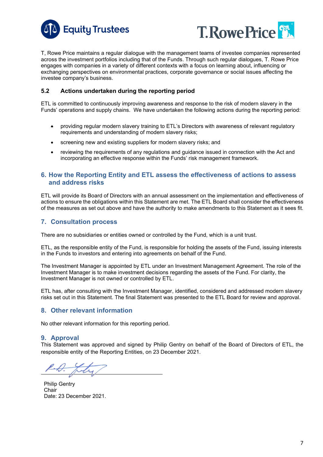



T, Rowe Price maintains a regular dialogue with the management teams of investee companies represented across the investment portfolios including that of the Funds. Through such regular dialogues, T. Rowe Price engages with companies in a variety of different contexts with a focus on learning about, influencing or exchanging perspectives on environmental practices, corporate governance or social issues affecting the investee company's business.

#### <span id="page-6-0"></span>**5.2 Actions undertaken during the reporting period**

ETL is committed to continuously improving awareness and response to the risk of modern slavery in the Funds' operations and supply chains. We have undertaken the following actions during the reporting period:

- providing regular modern slavery training to ETL's Directors with awareness of relevant regulatory requirements and understanding of modern slavery risks;
- screening new and existing suppliers for modern slavery risks; and
- reviewing the requirements of any regulations and guidance issued in connection with the Act and incorporating an effective response within the Funds' risk management framework.

#### <span id="page-6-1"></span>**6. How the Reporting Entity and ETL assess the effectiveness of actions to assess and address risks**

ETL will provide its Board of Directors with an annual assessment on the implementation and effectiveness of actions to ensure the obligations within this Statement are met. The ETL Board shall consider the effectiveness of the measures as set out above and have the authority to make amendments to this Statement as it sees fit.

#### <span id="page-6-2"></span>**7. Consultation process**

There are no subsidiaries or entities owned or controlled by the Fund, which is a unit trust.

ETL, as the responsible entity of the Fund, is responsible for holding the assets of the Fund, issuing interests in the Funds to investors and entering into agreements on behalf of the Fund.

The Investment Manager is appointed by ETL under an Investment Management Agreement. The role of the Investment Manager is to make investment decisions regarding the assets of the Fund. For clarity, the Investment Manager is not owned or controlled by ETL.

ETL has, after consulting with the Investment Manager, identified, considered and addressed modern slavery risks set out in this Statement. The final Statement was presented to the ETL Board for review and approval.

#### <span id="page-6-3"></span>**8. Other relevant information**

No other relevant information for this reporting period.

#### <span id="page-6-4"></span>**9. Approval**

This Statement was approved and signed by Philip Gentry on behalf of the Board of Directors of ETL, the responsible entity of the Reporting Entities, on 23 December 2021.

Philip Gentry **Chair** Date: 23 December 2021.